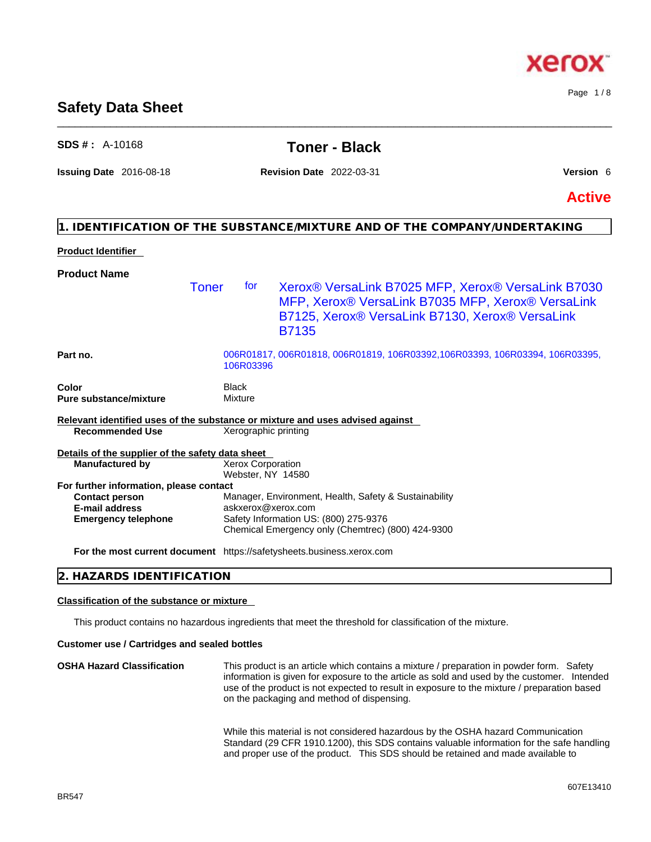## **Safety Data Sheet** \_\_\_\_\_\_\_\_\_\_\_\_\_\_\_\_\_\_\_\_\_\_\_\_\_\_\_\_\_\_\_\_\_\_\_\_\_\_\_\_\_\_\_\_\_\_\_\_\_\_\_\_\_\_\_\_\_\_\_\_\_\_\_\_\_\_\_\_\_\_\_\_\_\_\_\_\_\_\_\_\_\_\_\_\_\_\_\_\_\_\_\_\_\_

## **1. IDENTIFICATION OF THE SUBSTANCE/MIXTURE AND OF THE COMPANY/UNDERTAKING Product Identifier Product Name Part no.** 006R01817, 006R01818, 006R01819, 106R03392,106R03393, 106R03394, 106R03395, 106R03396 **Color Black Pure substance/mixture Mixture Relevant identified uses of the substance or mixture and uses advised against Recommended Use** Xerographic printing **Details of the supplier of the safety data sheet For further information, please contact Emergency telephone** Safety Information US: (800) 275-9376 Chemical Emergency only (Chemtrec) (800) 424-9300 Toner for Xerox® VersaLink B7025 MFP, Xerox® VersaLink B7030 MFP, Xerox® VersaLink B7035 MFP, Xerox® VersaLink B7125, Xerox® VersaLink B7130, Xerox® VersaLink B7135 **Manufactured by** Xerox Corporation Webster, NY 14580 **Contact person Manager, Environment, Health, Safety & Sustainability E-mail address** askxerox@xerox.com

**For the most current document** https://safetysheets.business.xerox.com

## **2. HAZARDS IDENTIFICATION**

## **Classification of the substance or mixture**

This product contains no hazardous ingredients that meet the threshold for classification of the mixture.

## **Customer use / Cartridges and sealed bottles**

**OSHA Hazard Classification** This product is an article which contains a mixture / preparation in powder form. Safety information is given for exposure to the article as sold and used by the customer. Intended use of the product is not expected to result in exposure to the mixture / preparation based on the packaging and method of dispensing.

> While this material is not considered hazardous by the OSHA hazard Communication Standard (29 CFR 1910.1200), this SDS contains valuable information for the safe handling and proper use of the product. This SDS should be retained and made available to

Page 1 / 8



## **SDS # :** A-10168 **Toner - Black**

**Issuing Date** 2016-08-18 **Revision Date** 2022-03-31 **Version** 6

**Active**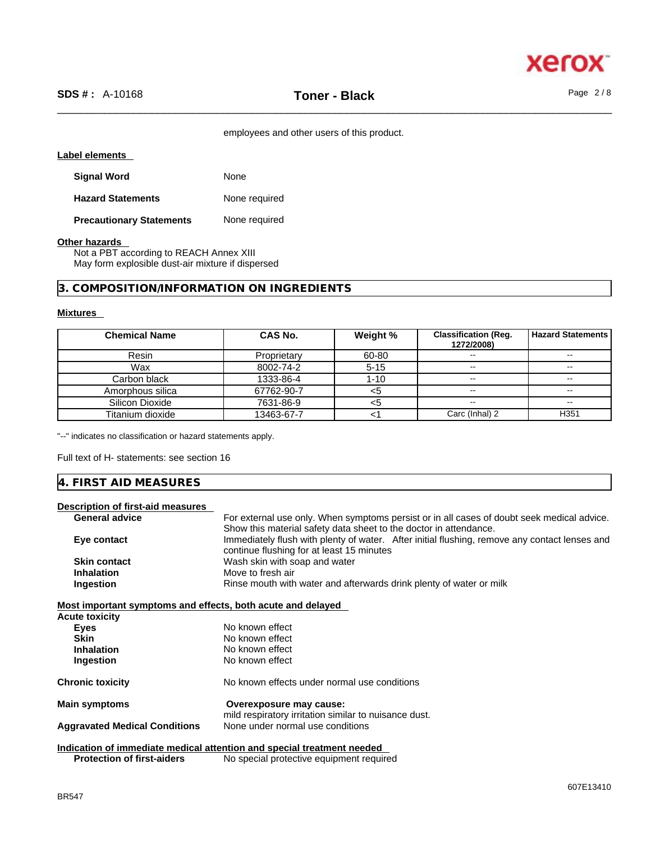

employees and other users of this product.

## **Label elements**

| <b>Signal Word</b>              | None          |
|---------------------------------|---------------|
| <b>Hazard Statements</b>        | None required |
| <b>Precautionary Statements</b> | None required |

## **Other hazards**

Not a PBT according to REACH Annex XIII May form explosible dust-air mixture if dispersed

## **3. COMPOSITION/INFORMATION ON INGREDIENTS**

## **Mixtures**

| <b>Chemical Name</b> | CAS No.     | Weight % | <b>Classification (Reg.</b><br>1272/2008) | <b>Hazard Statements</b> |
|----------------------|-------------|----------|-------------------------------------------|--------------------------|
| Resin                | Proprietary | 60-80    |                                           | $- -$                    |
| Wax                  | 8002-74-2   | $5 - 15$ | $\sim$                                    | $\sim$ $-$               |
| Carbon black         | 1333-86-4   | $1 - 10$ | --                                        | $\sim$ $-$               |
| Amorphous silica     | 67762-90-7  | <5       |                                           | $- -$                    |
| Silicon Dioxide      | 7631-86-9   | <5       | $\sim$ $\sim$                             | $\sim$ $-$               |
| Titanium dioxide     | 13463-67-7  |          | Carc (Inhal) 2                            | H <sub>351</sub>         |

"--" indicates no classification or hazard statements apply.

Full text of H- statements: see section 16

## **4. FIRST AID MEASURES**

## **Description of first-aid measures**

| <b>General advice</b>                                       | For external use only. When symptoms persist or in all cases of doubt seek medical advice.    |
|-------------------------------------------------------------|-----------------------------------------------------------------------------------------------|
|                                                             | Show this material safety data sheet to the doctor in attendance.                             |
| Eye contact                                                 | Immediately flush with plenty of water. After initial flushing, remove any contact lenses and |
|                                                             | continue flushing for at least 15 minutes                                                     |
| <b>Skin contact</b>                                         | Wash skin with soap and water                                                                 |
| <b>Inhalation</b>                                           | Move to fresh air                                                                             |
| Ingestion                                                   | Rinse mouth with water and afterwards drink plenty of water or milk                           |
| Most important symptoms and effects, both acute and delayed |                                                                                               |
| <b>Acute toxicity</b>                                       |                                                                                               |
| Eyes                                                        | No known effect                                                                               |
| Skin                                                        | No known effect                                                                               |
| <b>Inhalation</b>                                           | No known effect                                                                               |
| Ingestion                                                   | No known effect                                                                               |
| <b>Chronic toxicity</b>                                     | No known effects under normal use conditions                                                  |
| <b>Main symptoms</b>                                        | Overexposure may cause:                                                                       |
|                                                             | mild respiratory irritation similar to nuisance dust.                                         |
| <b>Aggravated Medical Conditions</b>                        | None under normal use conditions                                                              |
|                                                             | Indication of immediate medical attention and special treatment needed                        |
| <b>Protection of first-aiders</b>                           | No special protective equipment required                                                      |
|                                                             |                                                                                               |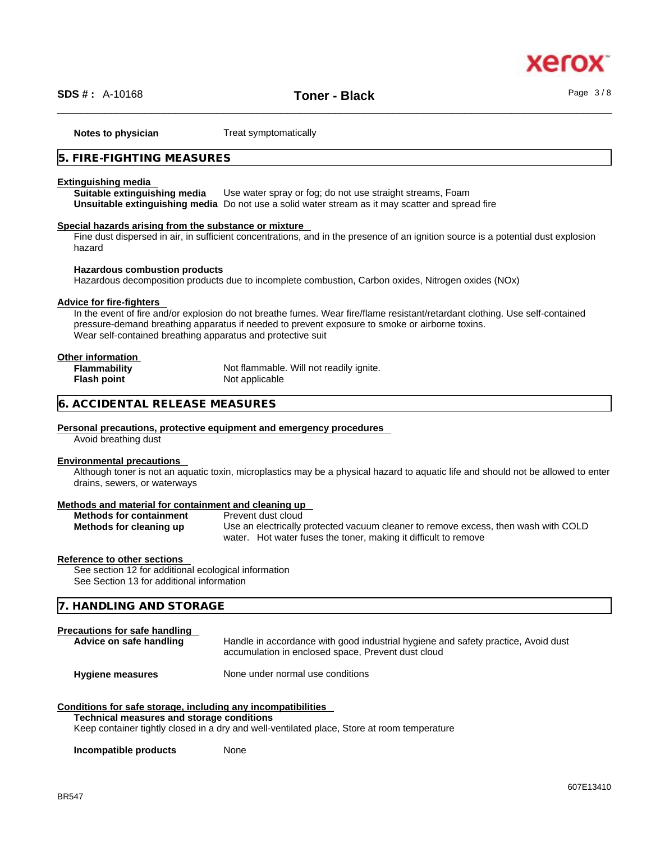

\_\_\_\_\_\_\_\_\_\_\_\_\_\_\_\_\_\_\_\_\_\_\_\_\_\_\_\_\_\_\_\_\_\_\_\_\_\_\_\_\_\_\_\_\_\_\_\_\_\_\_\_\_\_\_\_\_\_\_\_\_\_\_\_\_\_\_\_\_\_\_\_\_\_\_\_\_\_\_\_\_\_\_\_\_\_\_\_\_\_\_\_\_\_ **SDS # :** A-10168 **Toner - Black** Page 3 / 8

**Notes to physician** Treat symptomatically

## **5. FIRE-FIGHTING MEASURES**

#### **Extinguishing media**

**Suitable extinguishing media** Use water spray or fog; do not use straight streams, Foam **Unsuitable extinguishing media** Do not use a solid water stream as it may scatterand spread fire

## **Special hazards arising from the substance or mixture**

Fine dust dispersed in air, in sufficient concentrations, and in the presence of an ignition source is a potential dust explosion hazard

## **Hazardous combustion products**

Hazardous decomposition products due to incomplete combustion, Carbon oxides, Nitrogen oxides (NOx)

## **Advice for fire-fighters**

In the event of fire and/or explosion do not breathe fumes. Wear fire/flame resistant/retardant clothing. Use self-contained pressure-demand breathing apparatus if needed to prevent exposure to smoke or airborne toxins. Wear self-contained breathing apparatus and protective suit

## **Other information**

**Flammability** Not flammable. Will not readily ignite.<br> **Flash point Not** applicable **Not applicable** 

## **6. ACCIDENTAL RELEASE MEASURES**

#### **Personal precautions, protective equipment and emergency procedures**

Avoid breathing dust

## **Environmental precautions**

Although toner is not an aquatic toxin, microplastics may be a physical hazard to aquatic life and should not be allowed to enter drains, sewers, or waterways

#### **Methods and material for containment and cleaning up**

|  | <b>Methods for containment</b> |
|--|--------------------------------|
|  | Methods for cleaning up        |

**Prevent dust cloud** 

**Methods for cleaning up** Use an electrically protected vacuum cleaner to remove excess, then wash with COLD water. Hot water fuses the toner, making it difficult to remove

## **Reference to other sections**

See section 12 for additional ecological information See Section 13 for additional information

**7. HANDLING AND STORAGE** 

## **Precautions for safe handling**

**Advice on safe handling** Handle in accordance with good industrial hygiene and safety practice, Avoid dust accumulation in enclosed space, Prevent dust cloud

**Hygiene measures** None under normal use conditions

## **Conditions for safe storage, including any incompatibilities**

## **Technical measures and storage conditions**

Keep container tightly closed in a dry and well-ventilated place, Store at room temperature

**Incompatible products** None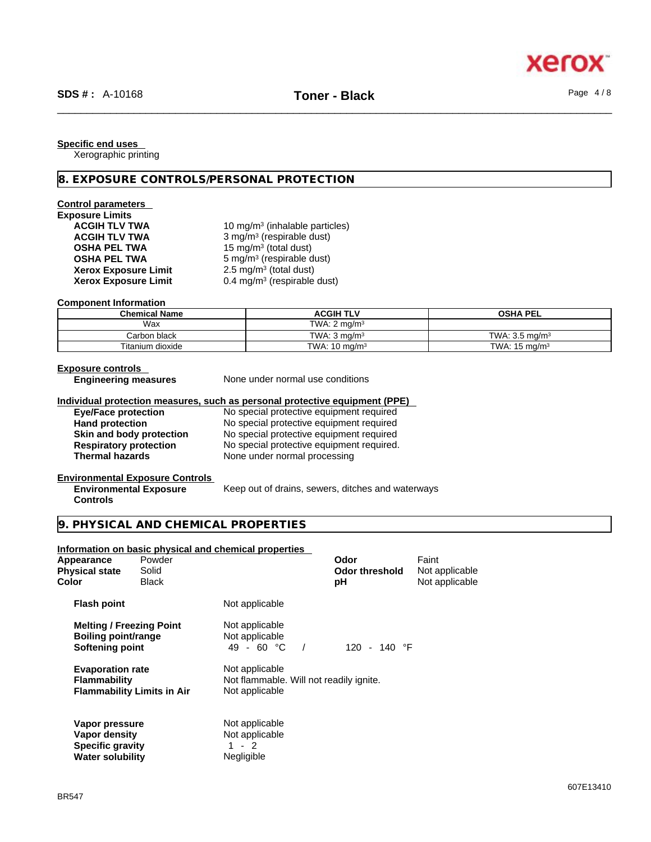**Specific end uses** 

Xerographic printing

## **8. EXPOSURE CONTROLS/PERSONAL PROTECTION**

## **Control parameters**

| <b>Exposure Limits</b>      |                |
|-----------------------------|----------------|
| <b>ACGIH TLV TWA</b>        | 10             |
| <b>ACGIH TLV TWA</b>        | 3 <sub>1</sub> |
| <b>OSHA PEL TWA</b>         | 15             |
| <b>OSHA PEL TWA</b>         | 5 <sub>1</sub> |
| <b>Xerox Exposure Limit</b> | 2.             |
| <b>Xerox Exposure Limit</b> | 0.             |
|                             |                |

**ACGIH TLV TWA** 10 mg/m<sup>3</sup> (inhalable particles) **ACGIH TLV TWA** 3 mg/m<sup>3</sup> (respirable dust) **OSHA PEL TWA** 15 mg/m<sup>3</sup> (total dust) **OSHA PEL TWA** 5 mg/m<sup>3</sup> (respirable dust) **Xerox Exposure Limit** 2.5 mg/m<sup>3</sup> (total dust) **Xerox Exposure Limit** 0.4 mg/m<sup>3</sup> (respirable dust)

## **Component Information**

| <b>Chemical Name</b> | <b>ACGIH TLV</b>         | <b>OSHA PEL</b>           |
|----------------------|--------------------------|---------------------------|
| Wax                  | TWA: $2 \text{ ma/m}^3$  |                           |
| Carbon black         | TWA: $3 \text{ ma/m}^3$  | TWA: $3.5 \text{ ma/m}^3$ |
| Titanium dioxide     | TWA: $10 \text{ mg/m}^3$ | TWA: $15 \text{ mg/m}^3$  |

## **Exposure controls**

**None under normal use conditions** 

## **Individual protection measures, such as personal protective equipment (PPE)**

| <b>Eye/Face protection</b>    | No special protective equipment required  |
|-------------------------------|-------------------------------------------|
| <b>Hand protection</b>        | No special protective equipment required  |
| Skin and body protection      | No special protective equipment required  |
| <b>Respiratory protection</b> | No special protective equipment required. |
| <b>Thermal hazards</b>        | None under normal processing              |

## **Environmental Exposure Controls**

**Environmental Exposure Controls**  Keep out of drains, sewers, ditches and waterways

## **9. PHYSICAL AND CHEMICAL PROPERTIES**

## **Information on basic physical and chemical properties**

| Appearance<br><b>Physical state</b><br>Color                                          | Powder<br>Solid<br><b>Black</b>   |                                                                             | Odor<br><b>Odor threshold</b><br>рH | Faint<br>Not applicable<br>Not applicable |  |
|---------------------------------------------------------------------------------------|-----------------------------------|-----------------------------------------------------------------------------|-------------------------------------|-------------------------------------------|--|
| <b>Flash point</b>                                                                    |                                   | Not applicable                                                              |                                     |                                           |  |
| <b>Melting / Freezing Point</b><br>Boiling point/range<br><b>Softening point</b>      |                                   | Not applicable<br>Not applicable<br>49 - 60 °C                              | 120 - 140 $\degree$ F               |                                           |  |
| <b>Evaporation rate</b><br><b>Flammability</b>                                        | <b>Flammability Limits in Air</b> | Not applicable<br>Not flammable. Will not readily ignite.<br>Not applicable |                                     |                                           |  |
| Vapor pressure<br>Vapor density<br><b>Specific gravity</b><br><b>Water solubility</b> |                                   | Not applicable<br>Not applicable<br>1 - 2<br>Negligible                     |                                     |                                           |  |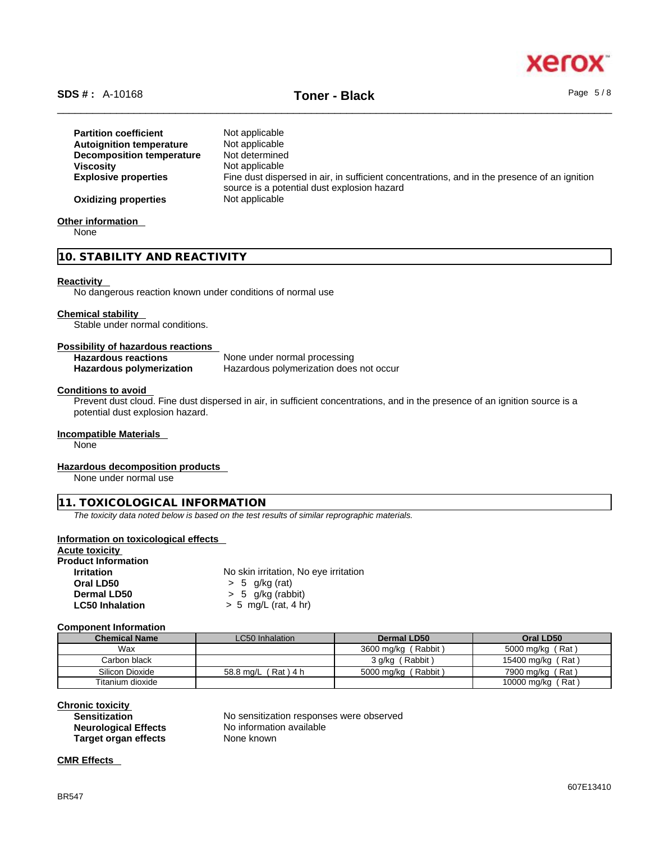

# \_\_\_\_\_\_\_\_\_\_\_\_\_\_\_\_\_\_\_\_\_\_\_\_\_\_\_\_\_\_\_\_\_\_\_\_\_\_\_\_\_\_\_\_\_\_\_\_\_\_\_\_\_\_\_\_\_\_\_\_\_\_\_\_\_\_\_\_\_\_\_\_\_\_\_\_\_\_\_\_\_\_\_\_\_\_\_\_\_\_\_\_\_\_ **SDS # :** A-10168 **Toner - Black** Page 5 / 8

| <b>Partition coefficient</b><br><b>Autoignition temperature</b><br><b>Decomposition temperature</b> | Not applicable<br>Not applicable<br>Not determined                                                                                          |
|-----------------------------------------------------------------------------------------------------|---------------------------------------------------------------------------------------------------------------------------------------------|
| <b>Viscosity</b>                                                                                    | Not applicable                                                                                                                              |
| <b>Explosive properties</b>                                                                         | Fine dust dispersed in air, in sufficient concentrations, and in the presence of an ignition<br>source is a potential dust explosion hazard |
| <b>Oxidizing properties</b>                                                                         | Not applicable                                                                                                                              |

## **Other information**

None

## **10. STABILITY AND REACTIVITY**

## **Reactivity**

No dangerous reaction known under conditions of normal use

## **Chemical stability**

Stable under normal conditions.

## **Possibility of hazardous reactions**

| <b>Hazardous reactions</b> | None under normal processing            |
|----------------------------|-----------------------------------------|
| Hazardous polymerization   | Hazardous polymerization does not occur |

## **Conditions to avoid**

Prevent dust cloud. Fine dust dispersed in air, in sufficient concentrations, and in the presence of an ignition source is a potential dust explosion hazard.

## **Incompatible Materials**

None

## **Hazardous decomposition products**

None under normal use

## **11. TOXICOLOGICAL INFORMATION**

*The toxicity data noted below is based on the test results of similar reprographic materials.* 

## **Information on toxicological effects**

## **Acute toxicity Product Information**

**Irritation** No skin irritation, No eye irritation **Oral LD50** > 5 g/kg (rat) **Dermal LD50** > 5 g/kg (rabbit) **LC50 Inhalation** > 5 mg/L (rat, 4 hr)

## **Component Information**

| <b>Chemical Name</b> | LC50 Inhalation          | Dermal LD50         | Oral LD50         |
|----------------------|--------------------------|---------------------|-------------------|
| Wax                  |                          | 3600 mg/kg (Rabbit) | 5000 mg/kg (Rat)  |
| Carbon black         |                          | 3 g/kg (Rabbit)     | 15400 mg/kg (Rat) |
| Silicon Dioxide      | $(Rat)$ 4 h<br>58.8 ma/L | 5000 mg/kg (Rabbit) | 7900 mg/kg (Rat)  |
| Titanium dioxide     |                          |                     | 10000 mg/kg (Rat) |

## **Chronic toxicity**

| <b>Sensitization</b>        | No sensitization responses were observed |
|-----------------------------|------------------------------------------|
| <b>Neurological Effects</b> | No information available                 |
| Target organ effects        | None known                               |

## **CMR Effects**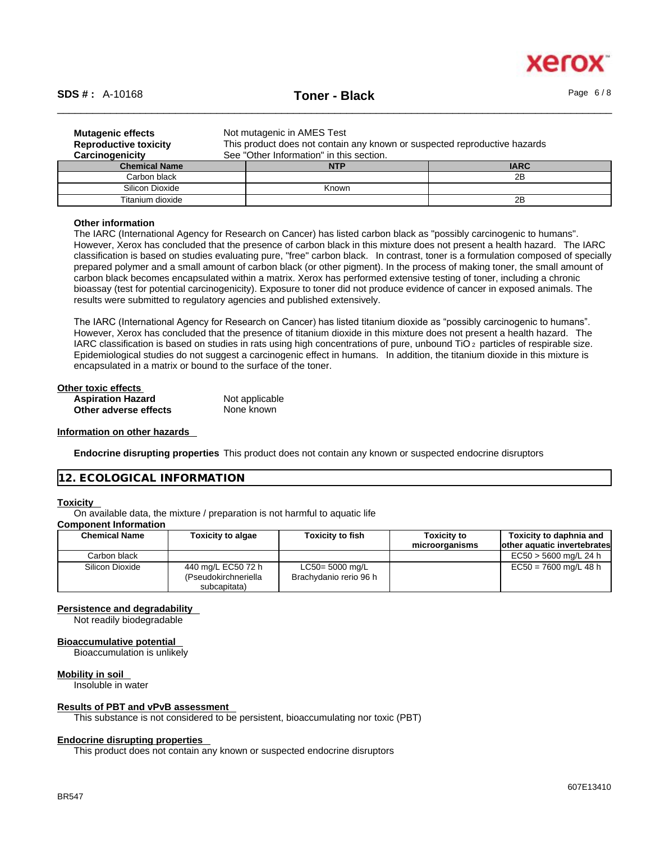

# \_\_\_\_\_\_\_\_\_\_\_\_\_\_\_\_\_\_\_\_\_\_\_\_\_\_\_\_\_\_\_\_\_\_\_\_\_\_\_\_\_\_\_\_\_\_\_\_\_\_\_\_\_\_\_\_\_\_\_\_\_\_\_\_\_\_\_\_\_\_\_\_\_\_\_\_\_\_\_\_\_\_\_\_\_\_\_\_\_\_\_\_\_\_ **SDS # :** A-10168 **Toner - Black** Page 6 / 8

| <b>Mutagenic effects</b><br><b>Reproductive toxicity</b><br>Carcinogenicity | Not mutagenic in AMES Test<br>This product does not contain any known or suspected reproductive hazards<br>See "Other Information" in this section. |             |  |  |
|-----------------------------------------------------------------------------|-----------------------------------------------------------------------------------------------------------------------------------------------------|-------------|--|--|
| <b>Chemical Name</b>                                                        | <b>NTP</b>                                                                                                                                          | <b>IARC</b> |  |  |
| Carbon black                                                                |                                                                                                                                                     | 2B          |  |  |
| Silicon Dioxide                                                             | Known                                                                                                                                               |             |  |  |
| Titanium dioxide                                                            |                                                                                                                                                     | 2Β          |  |  |

### **Other information**

The IARC (International Agency for Research on Cancer) has listed carbon black as "possibly carcinogenic to humans". However, Xerox has concluded that the presence of carbon black in this mixture does not present a health hazard. The IARC classification is based on studies evaluating pure, "free" carbon black. In contrast, toner is a formulation composed of specially prepared polymer and a small amount of carbon black (or other pigment). In the process of making toner, the small amount of carbon black becomes encapsulated within a matrix. Xerox has performed extensive testing of toner, including a chronic bioassay (test for potential carcinogenicity). Exposure to toner did not produce evidence of cancer in exposed animals. The results were submitted to regulatory agencies and published extensively.

The IARC (International Agency for Research on Cancer) has listed titanium dioxide as "possibly carcinogenic to humans". However, Xerox has concluded that the presence of titanium dioxide in this mixture does not present a health hazard. The IARC classification is based on studies in rats using high concentrations of pure, unbound TiO 2 particles of respirable size. Epidemiological studies do not suggest a carcinogenic effect in humans. In addition, the titanium dioxide in this mixture is encapsulated in a matrix or bound to the surface of the toner.

| Other toxic effects      |                |  |
|--------------------------|----------------|--|
| <b>Aspiration Hazard</b> | Not applicable |  |
| Other adverse effects    | None known     |  |

## **Information on other hazards**

**Endocrine disrupting properties** This product does not contain any known or suspected endocrine disruptors

## **12. ECOLOGICAL INFORMATION**

## **Toxicity**

On available data, the mixture / preparation is not harmful to aquatic life

## **Component Information**

| <b>Chemical Name</b> | <b>Toxicity to algae</b>                                   | <b>Toxicity to fish</b>                   | <b>Toxicity to</b><br>microorganisms | Toxicity to daphnia and<br>lother aquatic invertebrates |
|----------------------|------------------------------------------------------------|-------------------------------------------|--------------------------------------|---------------------------------------------------------|
| Carbon black         |                                                            |                                           |                                      | $EC50 > 5600$ mg/L 24 h                                 |
| Silicon Dioxide      | 440 mg/L EC50 72 h<br>(Pseudokirchneriella<br>subcapitata) | LC50= 5000 mg/L<br>Brachydanio rerio 96 h |                                      | $EC50 = 7600$ mg/L 48 h                                 |

## **Persistence and degradability**

Not readily biodegradable

## **Bioaccumulative potential**

Bioaccumulation is unlikely

#### **Mobility in soil**

Insoluble in water

## **Results of PBT and vPvB assessment**

This substance is not considered to be persistent, bioaccumulating nor toxic (PBT)

## **Endocrine disrupting properties**

This product does not contain any known or suspected endocrine disruptors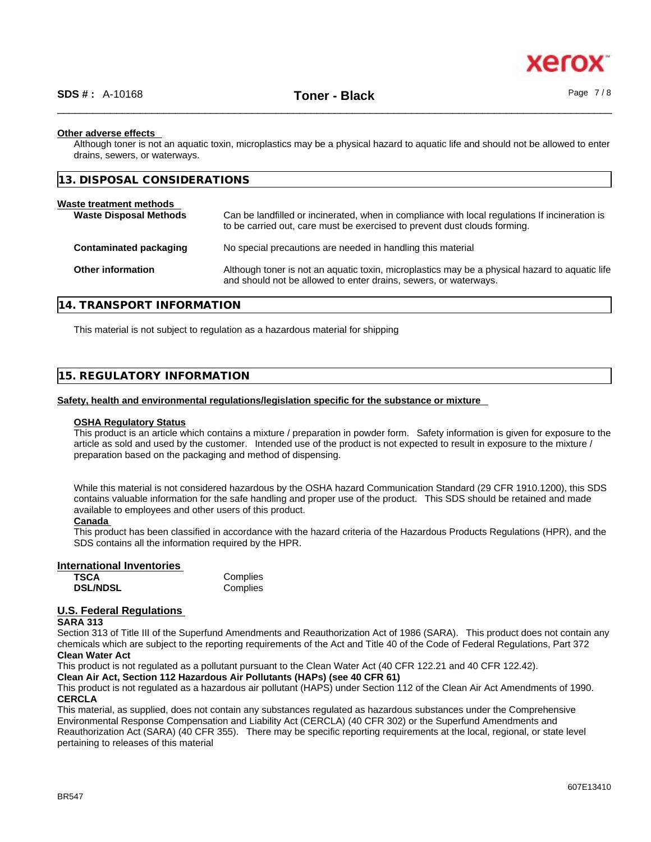## **Other adverse effects**

Although toner is not an aquatic toxin, microplastics may be a physical hazard to aquatic life and should not be allowed to enter drains, sewers, or waterways.

| 13. DISPOSAL CONSIDERATIONS                              |                                                                                                                                                                             |
|----------------------------------------------------------|-----------------------------------------------------------------------------------------------------------------------------------------------------------------------------|
| Waste treatment methods<br><b>Waste Disposal Methods</b> | Can be landfilled or incinerated, when in compliance with local regulations If incineration is<br>to be carried out, care must be exercised to prevent dust clouds forming. |
| Contaminated packaging                                   | No special precautions are needed in handling this material                                                                                                                 |
| <b>Other information</b>                                 | Although toner is not an aquatic toxin, microplastics may be a physical hazard to aquatic life<br>and should not be allowed to enter drains, sewers, or waterways.          |

## **14. TRANSPORT INFORMATION**

This material is not subject to regulation as a hazardous material for shipping

## **15. REGULATORY INFORMATION**

## **Safety, health and environmental regulations/legislation specific for the substance or mixture**

## **OSHA Regulatory Status**

This product is an article which contains a mixture / preparation in powder form. Safety information is given for exposure to the article as sold and used by the customer. Intended use of the product is not expected to result in exposure to the mixture / preparation based on the packaging and method of dispensing.

While this material is not considered hazardous by the OSHA hazard Communication Standard (29 CFR 1910.1200), this SDS contains valuable information for the safe handling and proper use of the product. This SDS should be retained and made available to employees and other users of this product.

## **Canada**

This product has been classified in accordance with the hazard criteria of the Hazardous Products Regulations (HPR), and the SDS contains all the information required by the HPR.

## **International Inventories**

| TSCA            | Complies |
|-----------------|----------|
| <b>DSL/NDSL</b> | Complies |

## **U.S. Federal Regulations**

#### **SARA 313**

Section 313 of Title III of the Superfund Amendments and Reauthorization Act of 1986 (SARA). This product does not contain any chemicals which are subject to the reporting requirements of the Act and Title 40 of the Code of Federal Regulations, Part 372 **Clean Water Act**

This product is not regulated as a pollutant pursuant to the Clean Water Act (40 CFR 122.21 and 40 CFR 122.42).

**Clean Air Act,Section 112 Hazardous Air Pollutants (HAPs) (see 40 CFR 61)**

This product is not regulated as a hazardous air pollutant (HAPS) under Section 112 of the Clean Air Act Amendments of 1990. **CERCLA**

This material, as supplied, does not contain any substances regulated as hazardous substances under the Comprehensive Environmental Response Compensation and Liability Act (CERCLA) (40 CFR 302) or the Superfund Amendments and Reauthorization Act (SARA) (40 CFR 355). There may be specific reporting requirements at the local, regional, or state level pertaining to releases of this material